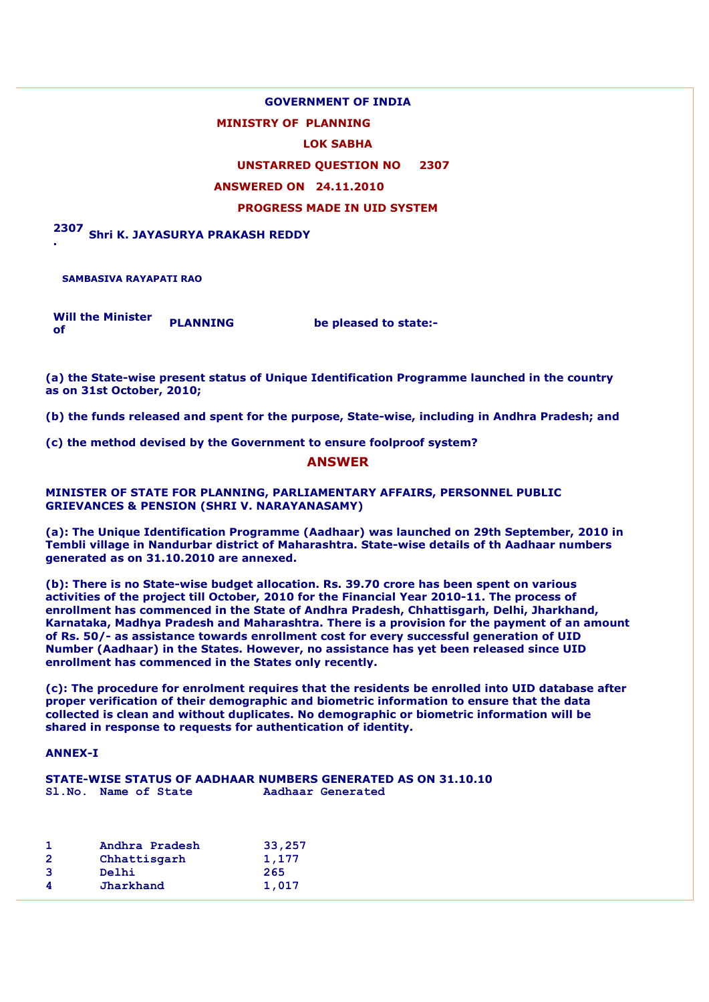#### **GOVERNMENT OF INDIA**

### **MINISTRY OF PLANNING**

#### **LOK SABHA**

#### **UNSTARRED QUESTION NO 2307**

#### **ANSWERED ON 24.11.2010**

# **PROGRESS MADE IN UID SYSTEM**

#### **2307 . Shri K. JAYASURYA PRAKASH REDDY**

**SAMBASIVA RAYAPATI RAO**

**Will the Minister be pleased to state:-**<br> **of** *pleased to state:-*

**(a) the State-wise present status of Unique Identification Programme launched in the country as on 31st October, 2010;** 

**(b) the funds released and spent for the purpose, State-wise, including in Andhra Pradesh; and** 

**(c) the method devised by the Government to ensure foolproof system?** 

# **ANSWER**

**MINISTER OF STATE FOR PLANNING, PARLIAMENTARY AFFAIRS, PERSONNEL PUBLIC GRIEVANCES & PENSION (SHRI V. NARAYANASAMY)** 

**(a): The Unique Identification Programme (Aadhaar) was launched on 29th September, 2010 in Tembli village in Nandurbar district of Maharashtra. State-wise details of th Aadhaar numbers generated as on 31.10.2010 are annexed.** 

**(b): There is no State-wise budget allocation. Rs. 39.70 crore has been spent on various activities of the project till October, 2010 for the Financial Year 2010-11. The process of enrollment has commenced in the State of Andhra Pradesh, Chhattisgarh, Delhi, Jharkhand, Karnataka, Madhya Pradesh and Maharashtra. There is a provision for the payment of an amount of Rs. 50/- as assistance towards enrollment cost for every successful generation of UID Number (Aadhaar) in the States. However, no assistance has yet been released since UID enrollment has commenced in the States only recently.** 

**(c): The procedure for enrolment requires that the residents be enrolled into UID database after proper verification of their demographic and biometric information to ensure that the data collected is clean and without duplicates. No demographic or biometric information will be shared in response to requests for authentication of identity.** 

# **ANNEX-I**

**STATE-WISE STATUS OF AADHAAR NUMBERS GENERATED AS ON 31.10.10 Sl.No. Name of State Aadhaar Generated** 

| -1             | Andhra Pradesh | 33,257 |
|----------------|----------------|--------|
| $\overline{2}$ | Chhattisgarh   | 1,177  |
| -3             | Delhi          | 265    |
| 4              | Jharkhand      | 1,017  |